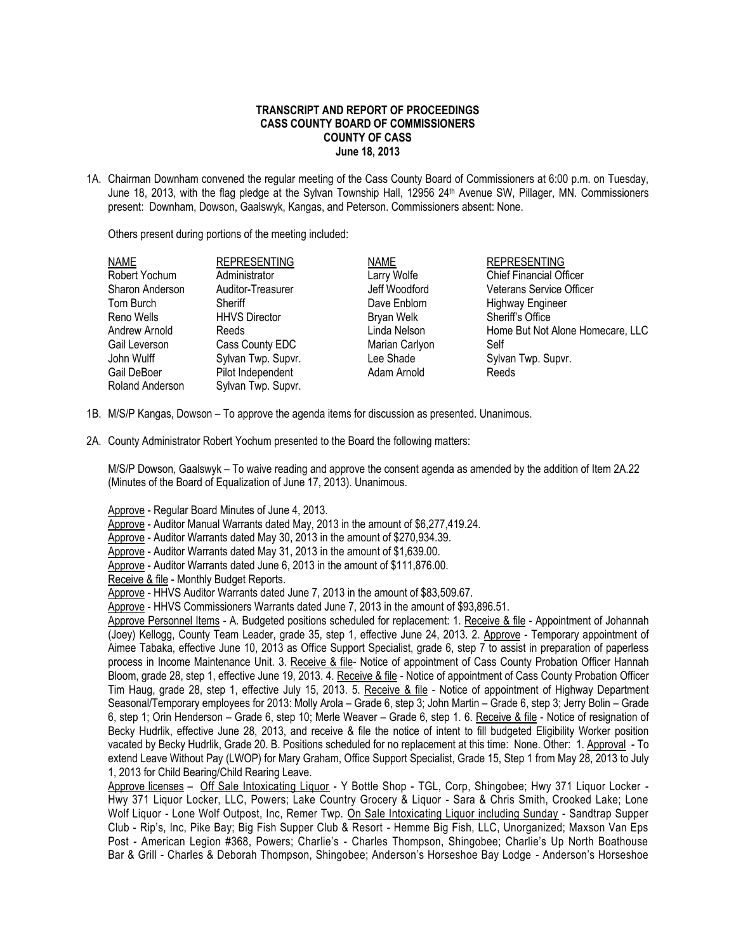## **TRANSCRIPT AND REPORT OF PROCEEDINGS CASS COUNTY BOARD OF COMMISSIONERS COUNTY OF CASS June 18, 2013**

1A. Chairman Downham convened the regular meeting of the Cass County Board of Commissioners at 6:00 p.m. on Tuesday, June 18, 2013, with the flag pledge at the Sylvan Township Hall, 12956 24th Avenue SW, Pillager, MN. Commissioners present: Downham, Dowson, Gaalswyk, Kangas, and Peterson. Commissioners absent: None.

Others present during portions of the meeting included:

| <b>NAME</b>     | <b>REPRESENTING</b>  | <b>NAME</b>    | <b>REPRESENTING</b>              |
|-----------------|----------------------|----------------|----------------------------------|
| Robert Yochum   | Administrator        | Larry Wolfe    | <b>Chief Financial Officer</b>   |
| Sharon Anderson | Auditor-Treasurer    | Jeff Woodford  | <b>Veterans Service Officer</b>  |
| Tom Burch       | Sheriff              | Dave Enblom    | <b>Highway Engineer</b>          |
| Reno Wells      | <b>HHVS Director</b> | Bryan Welk     | Sheriff's Office                 |
| Andrew Arnold   | Reeds                | Linda Nelson   | Home But Not Alone Homecare, LLC |
| Gail Leverson   | Cass County EDC      | Marian Carlyon | Self                             |
| John Wulff      | Sylvan Twp. Supvr.   | Lee Shade      | Sylvan Twp. Supvr.               |
| Gail DeBoer     | Pilot Independent    | Adam Arnold    | Reeds                            |
| Roland Anderson | Sylvan Twp. Supvr.   |                |                                  |

- 1B. M/S/P Kangas, Dowson To approve the agenda items for discussion as presented. Unanimous.
- 2A. County Administrator Robert Yochum presented to the Board the following matters:

M/S/P Dowson, Gaalswyk – To waive reading and approve the consent agenda as amended by the addition of Item 2A.22 (Minutes of the Board of Equalization of June 17, 2013). Unanimous.

Approve - Regular Board Minutes of June 4, 2013.

Approve - Auditor Manual Warrants dated May, 2013 in the amount of \$6,277,419.24.

Approve - Auditor Warrants dated May 30, 2013 in the amount of \$270,934.39.

Approve - Auditor Warrants dated May 31, 2013 in the amount of \$1,639.00.

Approve - Auditor Warrants dated June 6, 2013 in the amount of \$111,876.00.

Receive & file - Monthly Budget Reports.

Approve - HHVS Auditor Warrants dated June 7, 2013 in the amount of \$83,509.67.

Approve - HHVS Commissioners Warrants dated June 7, 2013 in the amount of \$93,896.51.

Approve Personnel Items - A. Budgeted positions scheduled for replacement: 1. Receive & file - Appointment of Johannah (Joey) Kellogg, County Team Leader, grade 35, step 1, effective June 24, 2013. 2. Approve - Temporary appointment of Aimee Tabaka, effective June 10, 2013 as Office Support Specialist, grade 6, step 7 to assist in preparation of paperless process in Income Maintenance Unit. 3. Receive & file- Notice of appointment of Cass County Probation Officer Hannah Bloom, grade 28, step 1, effective June 19, 2013. 4. Receive & file - Notice of appointment of Cass County Probation Officer Tim Haug, grade 28, step 1, effective July 15, 2013. 5. Receive & file - Notice of appointment of Highway Department Seasonal/Temporary employees for 2013: Molly Arola – Grade 6, step 3; John Martin – Grade 6, step 3; Jerry Bolin – Grade 6, step 1; Orin Henderson – Grade 6, step 10; Merle Weaver – Grade 6, step 1. 6. Receive & file - Notice of resignation of Becky Hudrlik, effective June 28, 2013, and receive & file the notice of intent to fill budgeted Eligibility Worker position vacated by Becky Hudrlik, Grade 20. B. Positions scheduled for no replacement at this time: None. Other: 1. Approval - To extend Leave Without Pay (LWOP) for Mary Graham, Office Support Specialist, Grade 15, Step 1 from May 28, 2013 to July 1, 2013 for Child Bearing/Child Rearing Leave.

Approve licenses – Off Sale Intoxicating Liquor - Y Bottle Shop - TGL, Corp, Shingobee; Hwy 371 Liquor Locker - Hwy 371 Liquor Locker, LLC, Powers; Lake Country Grocery & Liquor - Sara & Chris Smith, Crooked Lake; Lone Wolf Liquor - Lone Wolf Outpost, Inc, Remer Twp. On Sale Intoxicating Liquor including Sunday - Sandtrap Supper Club - Rip's, Inc, Pike Bay; Big Fish Supper Club & Resort - Hemme Big Fish, LLC, Unorganized; Maxson Van Eps Post - American Legion #368, Powers; Charlie's - Charles Thompson, Shingobee; Charlie's Up North Boathouse Bar & Grill - Charles & Deborah Thompson, Shingobee; Anderson's Horseshoe Bay Lodge - Anderson's Horseshoe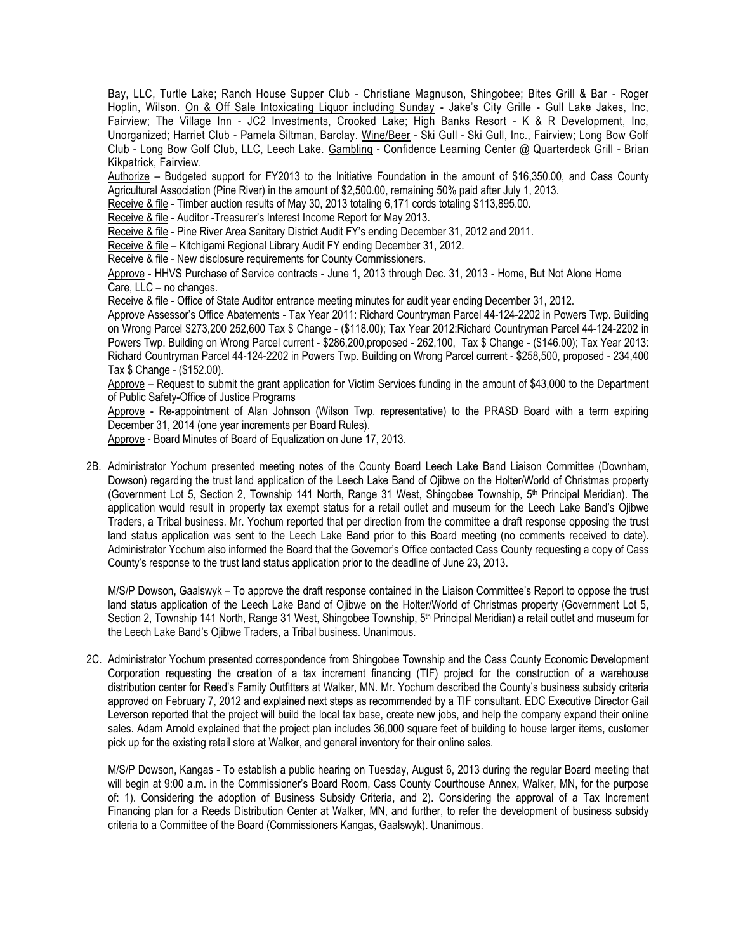Bay, LLC, Turtle Lake; Ranch House Supper Club - Christiane Magnuson, Shingobee; Bites Grill & Bar - Roger Hoplin, Wilson. On & Off Sale Intoxicating Liquor including Sunday - Jake's City Grille - Gull Lake Jakes, Inc, Fairview; The Village Inn - JC2 Investments, Crooked Lake; High Banks Resort - K & R Development, Inc, Unorganized; Harriet Club - Pamela Siltman, Barclay. Wine/Beer - Ski Gull - Ski Gull, Inc., Fairview; Long Bow Golf Club - Long Bow Golf Club, LLC, Leech Lake. Gambling - Confidence Learning Center @ Quarterdeck Grill - Brian Kikpatrick, Fairview.

 Authorize – Budgeted support for FY2013 to the Initiative Foundation in the amount of \$16,350.00, and Cass County Agricultural Association (Pine River) in the amount of \$2,500.00, remaining 50% paid after July 1, 2013.

Receive & file - Timber auction results of May 30, 2013 totaling 6,171 cords totaling \$113,895.00.

Receive & file - Auditor -Treasurer's Interest Income Report for May 2013.

Receive & file - Pine River Area Sanitary District Audit FY's ending December 31, 2012 and 2011.

Receive & file – Kitchigami Regional Library Audit FY ending December 31, 2012.

Receive & file - New disclosure requirements for County Commissioners.

Approve - HHVS Purchase of Service contracts - June 1, 2013 through Dec. 31, 2013 - Home, But Not Alone Home Care, LLC – no changes.

Receive & file - Office of State Auditor entrance meeting minutes for audit year ending December 31, 2012.

Approve Assessor's Office Abatements - Tax Year 2011: Richard Countryman Parcel 44-124-2202 in Powers Twp. Building on Wrong Parcel \$273,200 252,600 Tax \$ Change - (\$118.00); Tax Year 2012:Richard Countryman Parcel 44-124-2202 in Powers Twp. Building on Wrong Parcel current - \$286,200,proposed - 262,100, Tax \$ Change - (\$146.00); Tax Year 2013: Richard Countryman Parcel 44-124-2202 in Powers Twp. Building on Wrong Parcel current - \$258,500, proposed - 234,400 Tax \$ Change - (\$152.00).

Approve – Request to submit the grant application for Victim Services funding in the amount of \$43,000 to the Department of Public Safety-Office of Justice Programs

Approve - Re-appointment of Alan Johnson (Wilson Twp. representative) to the PRASD Board with a term expiring December 31, 2014 (one year increments per Board Rules).

Approve - Board Minutes of Board of Equalization on June 17, 2013.

2B. Administrator Yochum presented meeting notes of the County Board Leech Lake Band Liaison Committee (Downham, Dowson) regarding the trust land application of the Leech Lake Band of Ojibwe on the Holter/World of Christmas property (Government Lot 5, Section 2, Township 141 North, Range 31 West, Shingobee Township, 5<sup>th</sup> Principal Meridian). The application would result in property tax exempt status for a retail outlet and museum for the Leech Lake Band's Ojibwe Traders, a Tribal business. Mr. Yochum reported that per direction from the committee a draft response opposing the trust land status application was sent to the Leech Lake Band prior to this Board meeting (no comments received to date). Administrator Yochum also informed the Board that the Governor's Office contacted Cass County requesting a copy of Cass County's response to the trust land status application prior to the deadline of June 23, 2013.

M/S/P Dowson, Gaalswyk – To approve the draft response contained in the Liaison Committee's Report to oppose the trust land status application of the Leech Lake Band of Ojibwe on the Holter/World of Christmas property (Government Lot 5, Section 2, Township 141 North, Range 31 West, Shingobee Township, 5<sup>th</sup> Principal Meridian) a retail outlet and museum for the Leech Lake Band's Ojibwe Traders, a Tribal business. Unanimous.

2C. Administrator Yochum presented correspondence from Shingobee Township and the Cass County Economic Development Corporation requesting the creation of a tax increment financing (TIF) project for the construction of a warehouse distribution center for Reed's Family Outfitters at Walker, MN. Mr. Yochum described the County's business subsidy criteria approved on February 7, 2012 and explained next steps as recommended by a TIF consultant. EDC Executive Director Gail Leverson reported that the project will build the local tax base, create new jobs, and help the company expand their online sales. Adam Arnold explained that the project plan includes 36,000 square feet of building to house larger items, customer pick up for the existing retail store at Walker, and general inventory for their online sales.

M/S/P Dowson, Kangas - To establish a public hearing on Tuesday, August 6, 2013 during the regular Board meeting that will begin at 9:00 a.m. in the Commissioner's Board Room, Cass County Courthouse Annex, Walker, MN, for the purpose of: 1). Considering the adoption of Business Subsidy Criteria, and 2). Considering the approval of a Tax Increment Financing plan for a Reeds Distribution Center at Walker, MN, and further, to refer the development of business subsidy criteria to a Committee of the Board (Commissioners Kangas, Gaalswyk). Unanimous.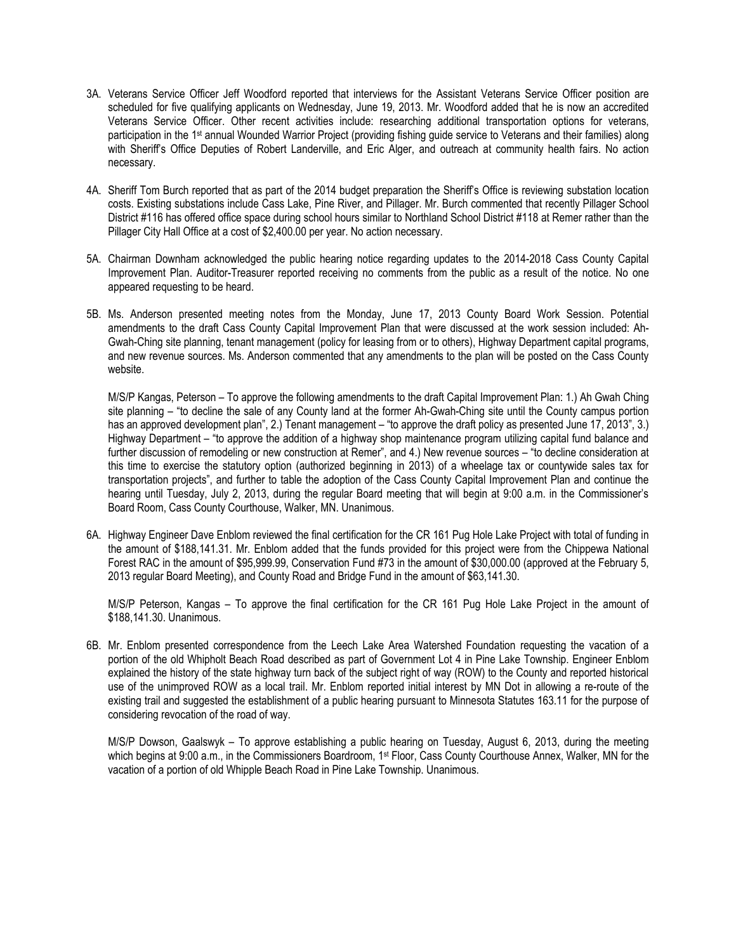- 3A. Veterans Service Officer Jeff Woodford reported that interviews for the Assistant Veterans Service Officer position are scheduled for five qualifying applicants on Wednesday, June 19, 2013. Mr. Woodford added that he is now an accredited Veterans Service Officer. Other recent activities include: researching additional transportation options for veterans, participation in the 1st annual Wounded Warrior Project (providing fishing guide service to Veterans and their families) along with Sheriff's Office Deputies of Robert Landerville, and Eric Alger, and outreach at community health fairs. No action necessary.
- 4A. Sheriff Tom Burch reported that as part of the 2014 budget preparation the Sheriff's Office is reviewing substation location costs. Existing substations include Cass Lake, Pine River, and Pillager. Mr. Burch commented that recently Pillager School District #116 has offered office space during school hours similar to Northland School District #118 at Remer rather than the Pillager City Hall Office at a cost of \$2,400.00 per year. No action necessary.
- 5A. Chairman Downham acknowledged the public hearing notice regarding updates to the 2014-2018 Cass County Capital Improvement Plan. Auditor-Treasurer reported receiving no comments from the public as a result of the notice. No one appeared requesting to be heard.
- 5B. Ms. Anderson presented meeting notes from the Monday, June 17, 2013 County Board Work Session. Potential amendments to the draft Cass County Capital Improvement Plan that were discussed at the work session included: Ah-Gwah-Ching site planning, tenant management (policy for leasing from or to others), Highway Department capital programs, and new revenue sources. Ms. Anderson commented that any amendments to the plan will be posted on the Cass County website.

M/S/P Kangas, Peterson – To approve the following amendments to the draft Capital Improvement Plan: 1.) Ah Gwah Ching site planning – "to decline the sale of any County land at the former Ah-Gwah-Ching site until the County campus portion has an approved development plan", 2.) Tenant management – "to approve the draft policy as presented June 17, 2013", 3.) Highway Department – "to approve the addition of a highway shop maintenance program utilizing capital fund balance and further discussion of remodeling or new construction at Remer", and 4.) New revenue sources – "to decline consideration at this time to exercise the statutory option (authorized beginning in 2013) of a wheelage tax or countywide sales tax for transportation projects", and further to table the adoption of the Cass County Capital Improvement Plan and continue the hearing until Tuesday, July 2, 2013, during the regular Board meeting that will begin at 9:00 a.m. in the Commissioner's Board Room, Cass County Courthouse, Walker, MN. Unanimous.

6A. Highway Engineer Dave Enblom reviewed the final certification for the CR 161 Pug Hole Lake Project with total of funding in the amount of \$188,141.31. Mr. Enblom added that the funds provided for this project were from the Chippewa National Forest RAC in the amount of \$95,999.99, Conservation Fund #73 in the amount of \$30,000.00 (approved at the February 5, 2013 regular Board Meeting), and County Road and Bridge Fund in the amount of \$63,141.30.

M/S/P Peterson, Kangas – To approve the final certification for the CR 161 Pug Hole Lake Project in the amount of \$188,141.30. Unanimous.

6B. Mr. Enblom presented correspondence from the Leech Lake Area Watershed Foundation requesting the vacation of a portion of the old Whipholt Beach Road described as part of Government Lot 4 in Pine Lake Township. Engineer Enblom explained the history of the state highway turn back of the subject right of way (ROW) to the County and reported historical use of the unimproved ROW as a local trail. Mr. Enblom reported initial interest by MN Dot in allowing a re-route of the existing trail and suggested the establishment of a public hearing pursuant to Minnesota Statutes 163.11 for the purpose of considering revocation of the road of way.

M/S/P Dowson, Gaalswyk – To approve establishing a public hearing on Tuesday, August 6, 2013, during the meeting which begins at 9:00 a.m., in the Commissioners Boardroom, 1st Floor, Cass County Courthouse Annex, Walker, MN for the vacation of a portion of old Whipple Beach Road in Pine Lake Township. Unanimous.